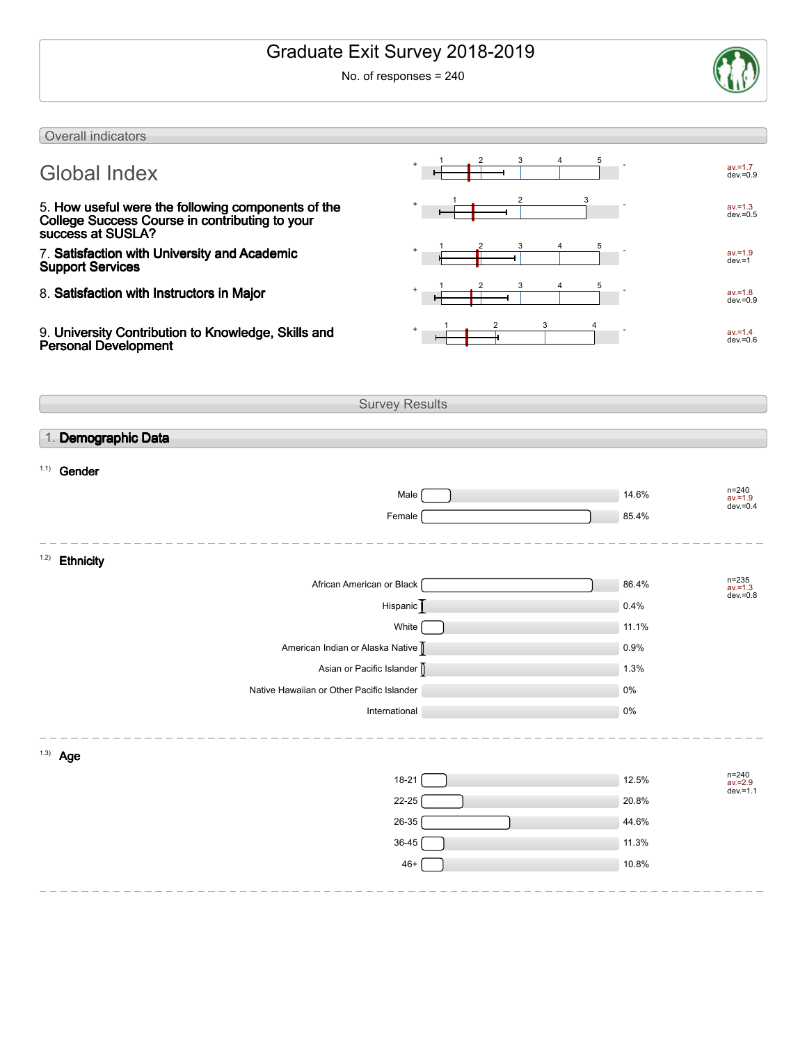# Graduate Exit Survey 2018-2019

No. of responses = 240



| Overall indicators                                                                                                        |                       |       |                                        |
|---------------------------------------------------------------------------------------------------------------------------|-----------------------|-------|----------------------------------------|
| <b>Global Index</b>                                                                                                       |                       |       | $av = 1.7$<br>$dev = 0.9$              |
| 5. How useful were the following components of the<br>College Success Course in contributing to your<br>success at SUSLA? | 2                     |       | $av = 1.3$<br>$dev = 0.5$              |
| 7. Satisfaction with University and Academic<br><b>Support Services</b>                                                   | 3                     |       | $av = 1.9$<br>$dev = 1$                |
| 8. Satisfaction with Instructors in Major                                                                                 | 3                     |       | $av = 1.8$<br>$dev = 0.9$              |
| 9. University Contribution to Knowledge, Skills and<br><b>Personal Development</b>                                        | 3                     |       | $av = 1.4$<br>$dev = 0.6$              |
|                                                                                                                           | <b>Survey Results</b> |       |                                        |
|                                                                                                                           |                       |       |                                        |
| 1. Demographic Data                                                                                                       |                       |       |                                        |
| $1.1)$ Gender                                                                                                             |                       |       |                                        |
|                                                                                                                           | Male                  | 14.6% | $n = 240$                              |
|                                                                                                                           | Female                | 85.4% | $av = 1.9$<br>$dev = 0.4$              |
|                                                                                                                           |                       |       |                                        |
| 1.2)<br><b>Ethnicity</b>                                                                                                  |                       |       |                                        |
| African American or Black                                                                                                 |                       | 86.4% | $n = 235$<br>$av = 1.3$<br>$dev = 0.8$ |
|                                                                                                                           | Hispanic              | 0.4%  |                                        |
|                                                                                                                           | White                 | 11.1% |                                        |
| American Indian or Alaska Native                                                                                          |                       | 0.9%  |                                        |
| Asian or Pacific Islander                                                                                                 |                       | 1.3%  |                                        |
| Native Hawaiian or Other Pacific Islander                                                                                 |                       | 0%    |                                        |
|                                                                                                                           | International         | $0\%$ |                                        |
|                                                                                                                           |                       |       |                                        |
| $1.3)$ Age                                                                                                                |                       |       |                                        |
|                                                                                                                           | $18 - 21$             | 12.5% | n=240<br>av.=2.9<br>dev.=1.1           |
|                                                                                                                           | 22-25                 | 20.8% |                                        |
|                                                                                                                           | $26 - 35$             | 44.6% |                                        |
|                                                                                                                           | 36-45                 | 11.3% |                                        |
|                                                                                                                           | $46+$                 | 10.8% |                                        |
|                                                                                                                           |                       |       |                                        |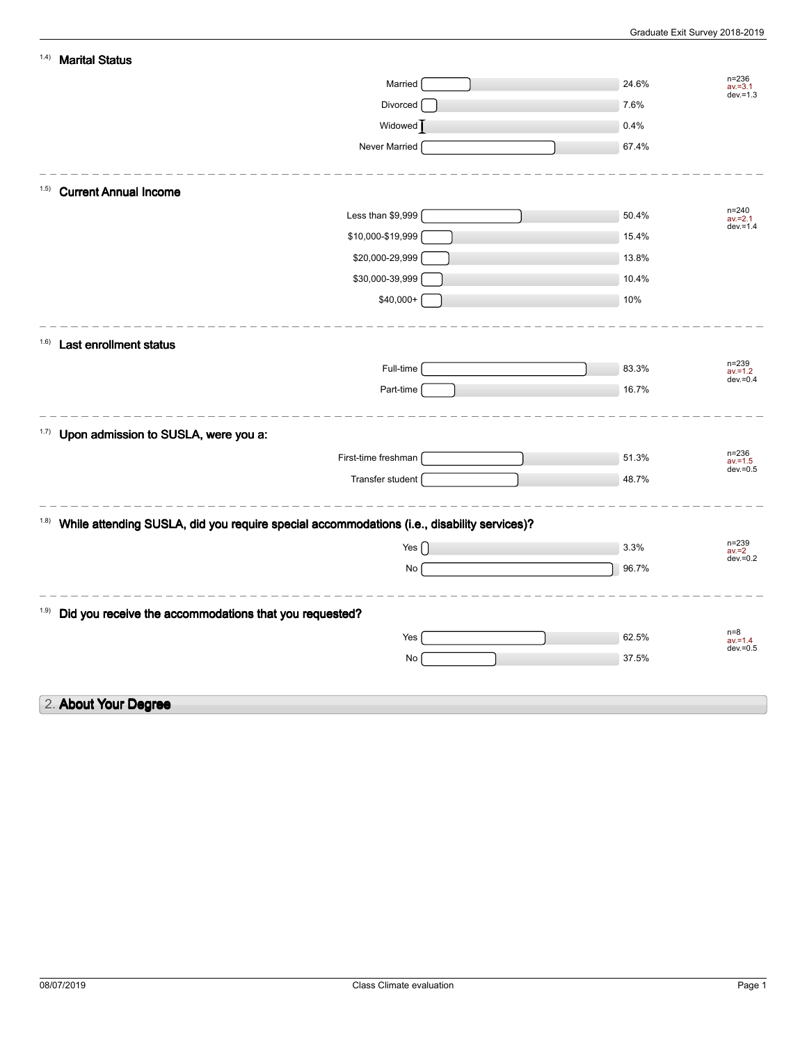| 1.4)  | <b>Marital Status</b>                                                                      |       |                           |
|-------|--------------------------------------------------------------------------------------------|-------|---------------------------|
|       | Married                                                                                    | 24.6% | $n = 236$<br>$av = 3.1$   |
|       | Divorced                                                                                   | 7.6%  | $dev = 1.3$               |
|       | Widowed <sup>]</sup>                                                                       | 0.4%  |                           |
|       | Never Married                                                                              | 67.4% |                           |
|       |                                                                                            |       |                           |
| (1.5) | <b>Current Annual Income</b>                                                               |       |                           |
|       | Less than \$9,999                                                                          | 50.4% | $n = 240$<br>$av = 2.1$   |
|       | \$10,000-\$19,999                                                                          | 15.4% | $dev = 1.4$               |
|       | \$20,000-29,999                                                                            | 13.8% |                           |
|       | \$30,000-39,999                                                                            | 10.4% |                           |
|       | $$40,000+$                                                                                 | 10%   |                           |
|       |                                                                                            |       |                           |
| (1.6) | <b>Last enrollment status</b>                                                              |       |                           |
|       | Full-time                                                                                  | 83.3% | $n = 239$<br>$av = 1.2$   |
|       | Part-time                                                                                  | 16.7% | $dev = 0.4$               |
|       |                                                                                            |       |                           |
| 1.7)  | Upon admission to SUSLA, were you a:                                                       |       |                           |
|       | First-time freshman                                                                        | 51.3% | $n = 236$                 |
|       | Transfer student                                                                           | 48.7% | $av = 1.5$<br>$dev = 0.5$ |
|       |                                                                                            |       |                           |
| (1.8) | While attending SUSLA, did you require special accommodations (i.e., disability services)? |       |                           |
|       | Yes $\lceil$                                                                               | 3.3%  | $n = 239$                 |
|       | No                                                                                         | 96.7% | $av = 2$<br>$dev = 0.2$   |
|       |                                                                                            |       |                           |
| 1.9)  |                                                                                            |       |                           |
|       | Did you receive the accommodations that you requested?                                     |       | $n=8$                     |
|       | Yes                                                                                        | 62.5% | $av = 1.4$<br>$dev = 0.5$ |
|       | No                                                                                         | 37.5% |                           |
|       |                                                                                            |       |                           |
|       | 2. About Your Degree                                                                       |       |                           |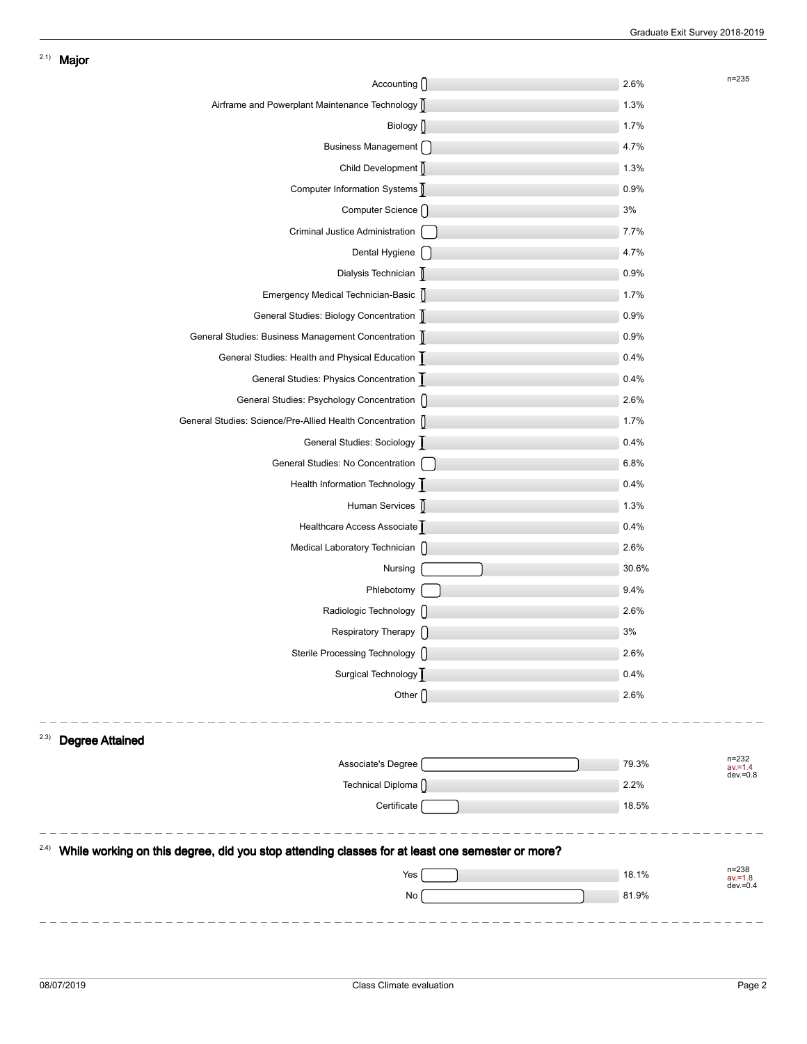| Accounting ()                                                                                   | 2.6%  | $n = 235$                              |
|-------------------------------------------------------------------------------------------------|-------|----------------------------------------|
| Airframe and Powerplant Maintenance Technology                                                  | 1.3%  |                                        |
| Biology $\int$                                                                                  | 1.7%  |                                        |
| Business Management [                                                                           | 4.7%  |                                        |
| Child Development                                                                               | 1.3%  |                                        |
| Computer Information Systems                                                                    | 0.9%  |                                        |
| Computer Science ()                                                                             | 3%    |                                        |
| Criminal Justice Administration                                                                 | 7.7%  |                                        |
| Dental Hygiene [                                                                                | 4.7%  |                                        |
| Dialysis Technician                                                                             | 0.9%  |                                        |
| Emergency Medical Technician-Basic                                                              | 1.7%  |                                        |
| General Studies: Biology Concentration                                                          | 0.9%  |                                        |
| General Studies: Business Management Concentration                                              | 0.9%  |                                        |
| General Studies: Health and Physical Education                                                  | 0.4%  |                                        |
| General Studies: Physics Concentration                                                          | 0.4%  |                                        |
| General Studies: Psychology Concentration []                                                    | 2.6%  |                                        |
| General Studies: Science/Pre-Allied Health Concentration                                        | 1.7%  |                                        |
| General Studies: Sociology                                                                      | 0.4%  |                                        |
| General Studies: No Concentration                                                               | 6.8%  |                                        |
| Health Information Technology                                                                   | 0.4%  |                                        |
| Human Services [                                                                                | 1.3%  |                                        |
| Healthcare Access Associate                                                                     | 0.4%  |                                        |
| Medical Laboratory Technician []                                                                | 2.6%  |                                        |
| Nursing                                                                                         | 30.6% |                                        |
| Phlebotomy                                                                                      | 9.4%  |                                        |
| Radiologic Technology ()                                                                        | 2.6%  |                                        |
| Respiratory Therapy ()                                                                          | 3%    |                                        |
| Sterile Processing Technology ()                                                                | 2.6%  |                                        |
| Surgical Technology                                                                             | 0.4%  |                                        |
| Other $\bigcap$                                                                                 | 2.6%  |                                        |
|                                                                                                 |       |                                        |
| 2.3)<br><b>Degree Attained</b>                                                                  |       |                                        |
| Associate's Degree                                                                              | 79.3% | $n = 232$<br>$av = 1.4$<br>$dev = 0.8$ |
| Technical Diploma (                                                                             | 2.2%  |                                        |
| Certificate                                                                                     | 18.5% |                                        |
| 2.4)                                                                                            |       |                                        |
| While working on this degree, did you stop attending classes for at least one semester or more? |       | $n = 238$                              |
| Yes                                                                                             | 18.1% | $av = 1.8$<br>$dev = 0.4$              |
| No                                                                                              | 81.9% |                                        |
|                                                                                                 |       |                                        |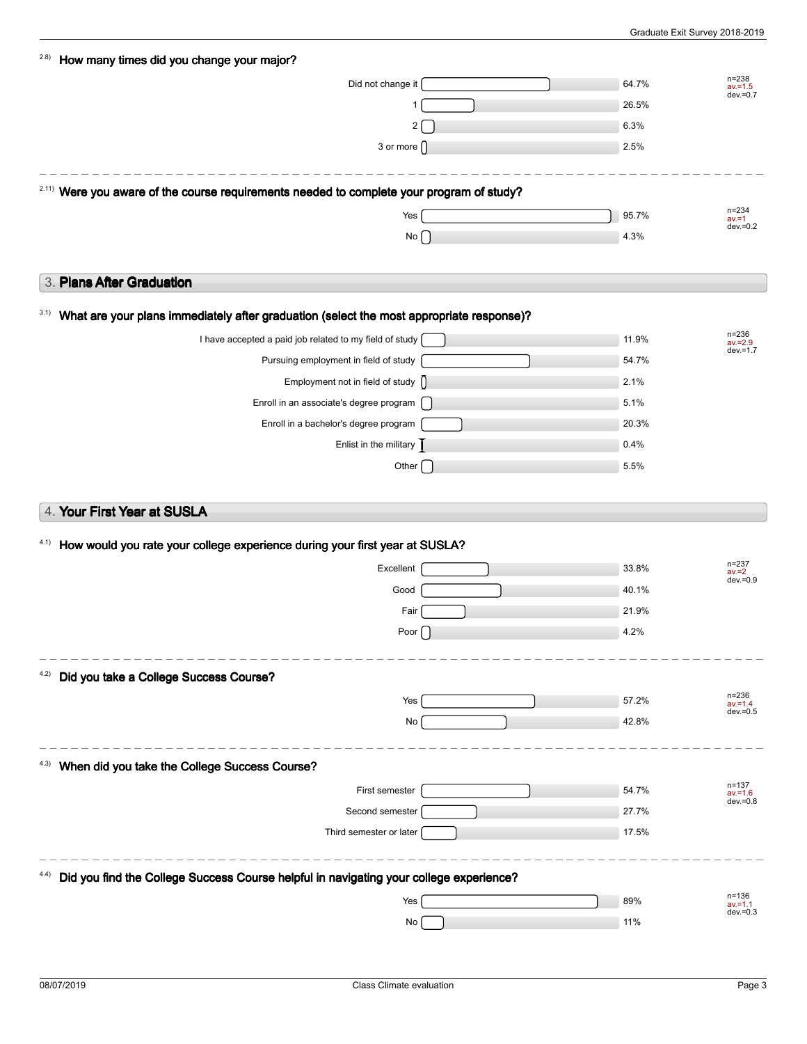| (2.8) | How many times did you change your major?                                                            |       |                           |
|-------|------------------------------------------------------------------------------------------------------|-------|---------------------------|
|       | Did not change it                                                                                    | 64.7% | $n = 238$<br>$av = 1.5$   |
|       |                                                                                                      | 26.5% | $dev = 0.7$               |
|       | 2                                                                                                    | 6.3%  |                           |
|       | 3 or more $\bigcap$                                                                                  | 2.5%  |                           |
|       |                                                                                                      |       |                           |
|       | <sup>2.11)</sup> Were you aware of the course requirements needed to complete your program of study? |       |                           |
|       | Yes                                                                                                  | 95.7% | $n = 234$<br>$av = 1$     |
|       | No                                                                                                   | 4.3%  | $dev = 0.2$               |
|       |                                                                                                      |       |                           |
|       | 3. Plans After Graduation                                                                            |       |                           |
| 3.1)  | What are your plans immediately after graduation (select the most appropriate response)?             |       |                           |
|       | I have accepted a paid job related to my field of study                                              | 11.9% | $n = 236$<br>$av = 2.9$   |
|       | Pursuing employment in field of study                                                                | 54.7% | $dev = 1.7$               |
|       | Employment not in field of study $\bigcap$                                                           | 2.1%  |                           |
|       | Enroll in an associate's degree program                                                              | 5.1%  |                           |
|       | Enroll in a bachelor's degree program                                                                | 20.3% |                           |
|       | Enlist in the military $\overline{\phantom{a}}$                                                      | 0.4%  |                           |
|       | Other $\sqrt{ }$                                                                                     | 5.5%  |                           |
|       |                                                                                                      |       |                           |
|       | 4. Your First Year at SUSLA                                                                          |       |                           |
| 4.1)  | How would you rate your college experience during your first year at SUSLA?                          |       |                           |
|       |                                                                                                      |       | $n = 237$                 |
|       | Excellent                                                                                            | 33.8% | $av = 2$<br>$dev = 0.9$   |
|       | Good                                                                                                 | 40.1% |                           |
|       | Fair                                                                                                 | 21.9% |                           |
|       | Poor                                                                                                 | 4.2%  |                           |
| 4.2)  | Did you take a College Success Course?                                                               |       |                           |
|       | Yes                                                                                                  | 57.2% | $n = 236$                 |
|       |                                                                                                      |       | $av = 1.4$<br>$dev = 0.5$ |
|       | No                                                                                                   | 42.8% |                           |
| 4.3)  | When did you take the College Success Course?                                                        |       |                           |
|       | First semester                                                                                       | 54.7% | $n = 137$                 |
|       | Second semester                                                                                      | 27.7% | $av = 1.6$<br>$dev = 0.8$ |
|       | Third semester or later                                                                              | 17.5% |                           |
|       |                                                                                                      |       |                           |
|       | Did you find the College Success Course helpful in navigating your college experience?               |       |                           |
|       | Yes                                                                                                  | 89%   | $n = 136$<br>$av = 1.1$   |
|       | No                                                                                                   | 11%   | $dev = 0.3$               |
|       |                                                                                                      |       |                           |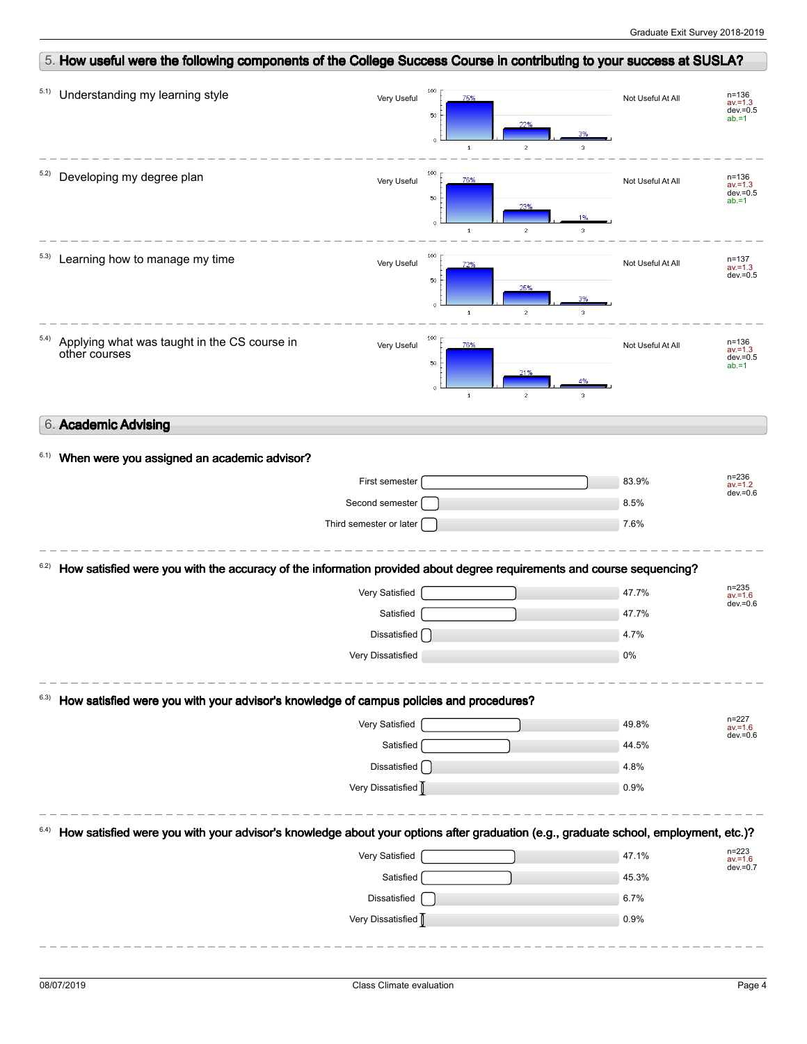|      | 5. How useful were the following components of the College Success Course in contributing to your success at SUSLA?                 |                         |                                                                        |                                        |                                                    |
|------|-------------------------------------------------------------------------------------------------------------------------------------|-------------------------|------------------------------------------------------------------------|----------------------------------------|----------------------------------------------------|
| 5.1) | Understanding my learning style                                                                                                     | 100<br>Very Useful      | 75%<br>50<br>22%<br>$\ddot{\text{o}}$<br>$\mathbf{2}$<br>$\mathbf 1$   | Not Useful At All<br>3                 | $n = 136$<br>$av = 1.3$<br>$dev = 0.5$<br>$ab = 1$ |
| 5.2) | Developing my degree plan                                                                                                           | 100<br>Very Useful      | 76%<br>50<br>23%<br>$\ddot{\text{o}}$<br>$\,$ 1 $\,$<br>$\overline{c}$ | Not Useful At All<br>$\mathfrak{I}$    | n=136<br>$av = 1.3$<br>$dev = 0.5$<br>$ab = 1$     |
| 5.3) | Learning how to manage my time                                                                                                      | 100<br>Very Useful      | 72%<br>50<br>25%<br>$\bullet$<br>$\mathbf 1$<br>$\overline{2}$         | Not Useful At All<br>3%<br>$\mathbf 3$ | $n = 137$<br>$av = 1.3$<br>$dev = 0.5$             |
| 5.4) | Applying what was taught in the CS course in<br>other courses                                                                       | 100<br>Very Useful      | 76%<br>50<br>21%<br>$\,$ 1 $\,$<br>$\overline{c}$                      | Not Useful At All<br>4%<br>3.          | $n = 136$<br>$av = 1.3$<br>$dev = 0.5$<br>$ab = 1$ |
|      | 6. Academic Advising                                                                                                                |                         |                                                                        |                                        |                                                    |
| 6.1) | When were you assigned an academic advisor?                                                                                         |                         |                                                                        |                                        |                                                    |
|      |                                                                                                                                     | First semester          |                                                                        | 83.9%                                  | n=236<br>av.=1.2<br>$dev = 0.6$                    |
|      |                                                                                                                                     | Second semester         |                                                                        | 8.5%                                   |                                                    |
|      |                                                                                                                                     | Third semester or later |                                                                        | 7.6%                                   |                                                    |
| 6.2) | How satisfied were you with the accuracy of the information provided about degree requirements and course sequencing?               |                         |                                                                        |                                        |                                                    |
|      |                                                                                                                                     |                         |                                                                        |                                        |                                                    |
|      |                                                                                                                                     | Very Satisfied          |                                                                        | 47.7%                                  | n=235<br>av.=1.6                                   |
|      |                                                                                                                                     | Satisfied               |                                                                        | 47.7%                                  |                                                    |
|      |                                                                                                                                     | Dissatisfied            |                                                                        | 4.7%                                   |                                                    |
|      |                                                                                                                                     | Very Dissatisfied       |                                                                        | 0%                                     | $dev = 0.6$                                        |
|      | How satisfied were you with your advisor's knowledge of campus policies and procedures?                                             |                         |                                                                        |                                        |                                                    |
|      |                                                                                                                                     | Very Satisfied          |                                                                        | 49.8%                                  | $n = 227$<br>$av = 1.6$                            |
|      |                                                                                                                                     | Satisfied               |                                                                        | 44.5%                                  |                                                    |
|      |                                                                                                                                     | Dissatisfied [          |                                                                        | 4.8%                                   | $dev = 0.6$                                        |
|      |                                                                                                                                     | Very Dissatisfied       |                                                                        | 0.9%                                   |                                                    |
|      | How satisfied were you with your advisor's knowledge about your options after graduation (e.g., graduate school, employment, etc.)? |                         |                                                                        |                                        |                                                    |
|      |                                                                                                                                     | Very Satisfied          |                                                                        | 47.1%                                  | n=223<br>av.=1.6                                   |
|      |                                                                                                                                     | Satisfied               |                                                                        | 45.3%                                  |                                                    |
|      |                                                                                                                                     | Dissatisfied            |                                                                        | 6.7%                                   | $dev = 0.7$                                        |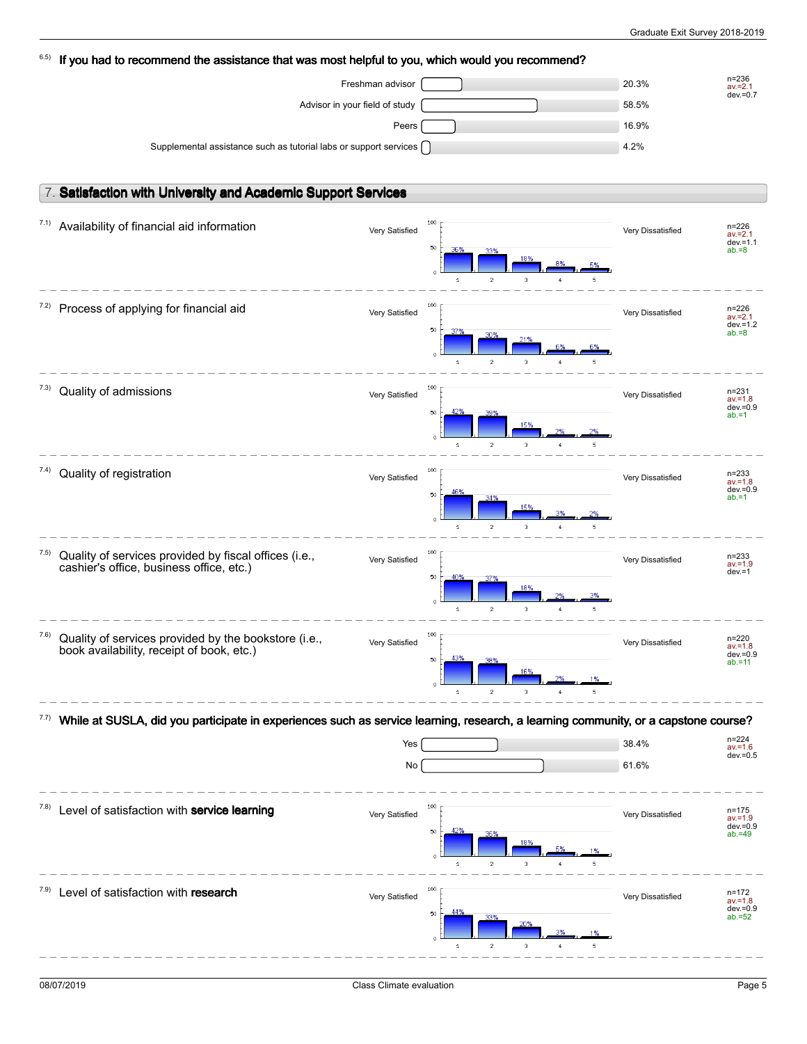| 6.5) | If you had to recommend the assistance that was most helpful to you, which would you recommend?                                    |                  |                                                                                                                                         |                                     |                                                     |
|------|------------------------------------------------------------------------------------------------------------------------------------|------------------|-----------------------------------------------------------------------------------------------------------------------------------------|-------------------------------------|-----------------------------------------------------|
|      |                                                                                                                                    | Freshman advisor |                                                                                                                                         | 20.3%                               | $n = 236$<br>$av = 2.1$                             |
|      | Advisor in your field of study                                                                                                     |                  |                                                                                                                                         | 58.5%                               | $dev = 0.7$                                         |
|      |                                                                                                                                    | Peers            |                                                                                                                                         | 16.9%                               |                                                     |
|      | Supplemental assistance such as tutorial labs or support services [                                                                |                  |                                                                                                                                         | 4.2%                                |                                                     |
|      |                                                                                                                                    |                  |                                                                                                                                         |                                     |                                                     |
|      |                                                                                                                                    |                  |                                                                                                                                         |                                     |                                                     |
|      | 7. Satisfaction with University and Academic Support Services                                                                      |                  |                                                                                                                                         |                                     |                                                     |
| 7.1) | Availability of financial aid information                                                                                          | Very Satisfied   | 100<br>50<br>36%<br>33%<br>18%                                                                                                          | Very Dissatisfied                   | $n = 226$<br>$av = 2.1$<br>$dev = 1.1$<br>$ab = 8$  |
| 7.2) | Process of applying for financial aid                                                                                              | Very Satisfied   | $\overline{\mathbf{c}}$<br>3<br>$\mathbf{1}$<br>100<br>50<br>30%<br>21%<br>$\ddot{\mathbf{0}}$<br>$\overline{2}$<br>3<br>$\overline{1}$ | 5<br>Very Dissatisfied              | $n = 226$<br>$av = 2.1$<br>$dev = 1.2$<br>$ab = 8$  |
| 7.3) | Quality of admissions                                                                                                              | Very Satisfied   | 100<br>50<br>15%<br>$\mathbf{1}$<br>$\overline{c}$<br>3                                                                                 | Very Dissatisfied<br>5              | $n = 231$<br>$av = 1.8$<br>$dev = 0.9$<br>$ab = 1$  |
| 7.4) | Quality of registration                                                                                                            | Very Satisfied   | 100<br>50<br>15%<br>$\mathbf{1}$<br>$\overline{c}$<br>3                                                                                 | Very Dissatisfied                   | $n = 233$<br>$av = 1.8$<br>$dev = 0.9$<br>$ab = 1$  |
| 7.5) | Quality of services provided by fiscal offices (i.e.,<br>cashier's office, business office, etc.)                                  | Very Satisfied   | 100<br>50<br>40%<br>37%<br>18%<br>$\ddot{\mathbf{0}}$<br>$\overline{c}$<br>3<br>$\mathbf{1}$                                            | Very Dissatisfied<br>5 <sub>1</sub> | n=233<br>$av = 1.9$<br>$dev = 1$                    |
| 7.6) | Quality of services provided by the bookstore (i.e.,<br>book availability, receipt of book, etc.)                                  | Very Satisfied   | 100<br>43%<br>50<br>16%<br>$\overline{c}$<br>з<br>1                                                                                     | Very Dissatisfied                   | $n = 220$<br>$av = 1.8$<br>$dev = 0.9$<br>$ab = 11$ |
| 7.7) | While at SUSLA, did you participate in experiences such as service learning, research, a learning community, or a capstone course? |                  |                                                                                                                                         |                                     |                                                     |
|      |                                                                                                                                    | Yes              |                                                                                                                                         | 38.4%                               | n=224                                               |
|      |                                                                                                                                    | No               |                                                                                                                                         | 61.6%                               | $av = 1.6$<br>$dev = 0.5$                           |
|      |                                                                                                                                    |                  |                                                                                                                                         |                                     |                                                     |
| 7.8) | Level of satisfaction with service learning                                                                                        | Very Satisfied   | 100<br>50<br>18%<br>$\overline{c}$<br>3<br>$\overline{1}$                                                                               | Very Dissatisfied                   | $n = 175$<br>$av = 1.9$<br>$dev = 0.9$<br>$ab = 49$ |
| 7.9) | Level of satisfaction with research                                                                                                | Very Satisfied   | 100<br>50<br>33%<br>20%<br>$\overline{c}$<br>3<br>$\mathbf{1}$                                                                          | Very Dissatisfied                   | n=172<br>$av = 1.8$<br>$dev = 0.9$<br>$ab = 52$     |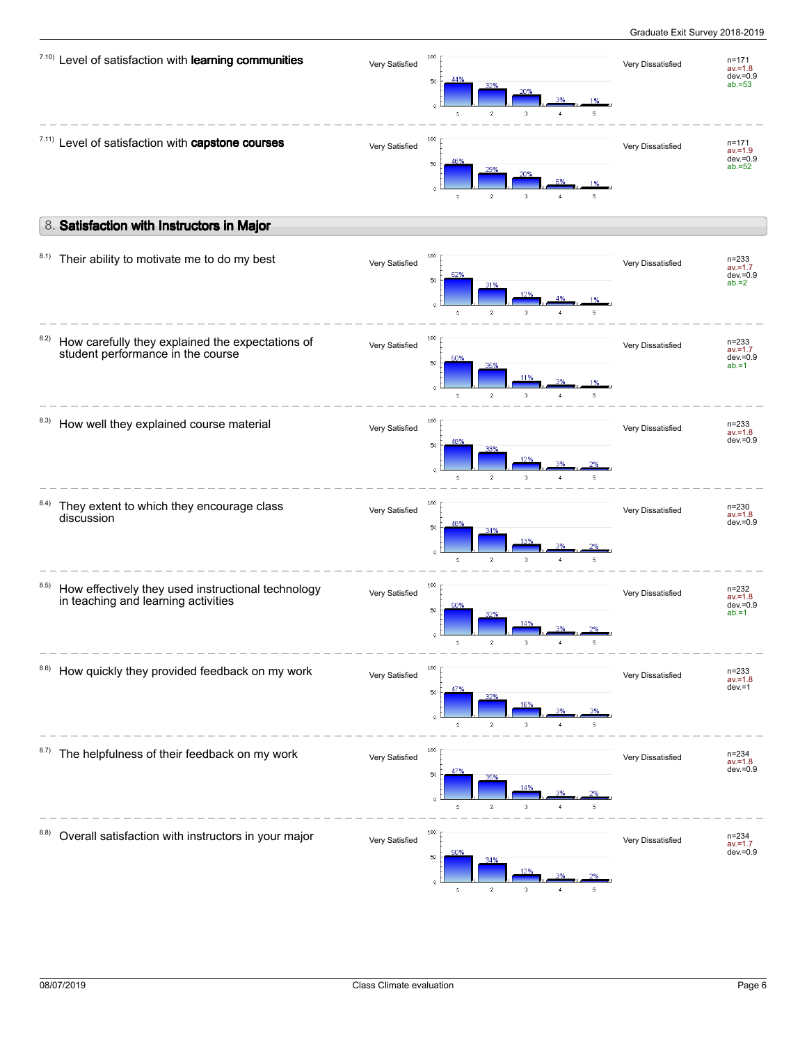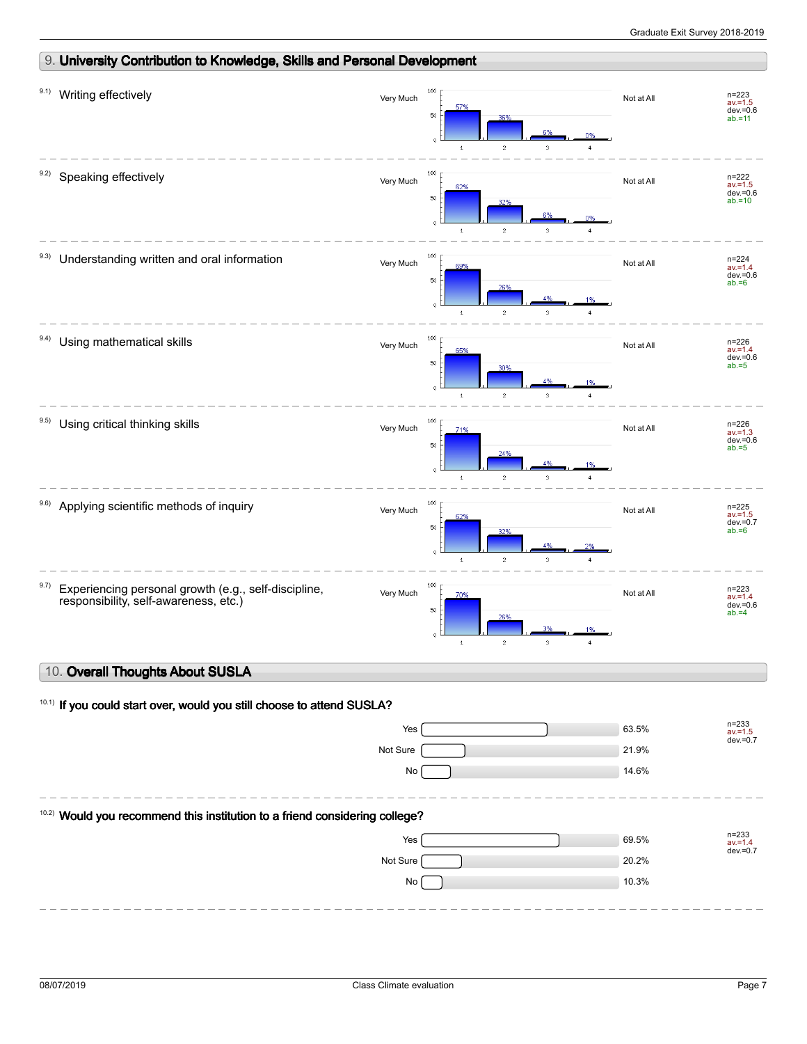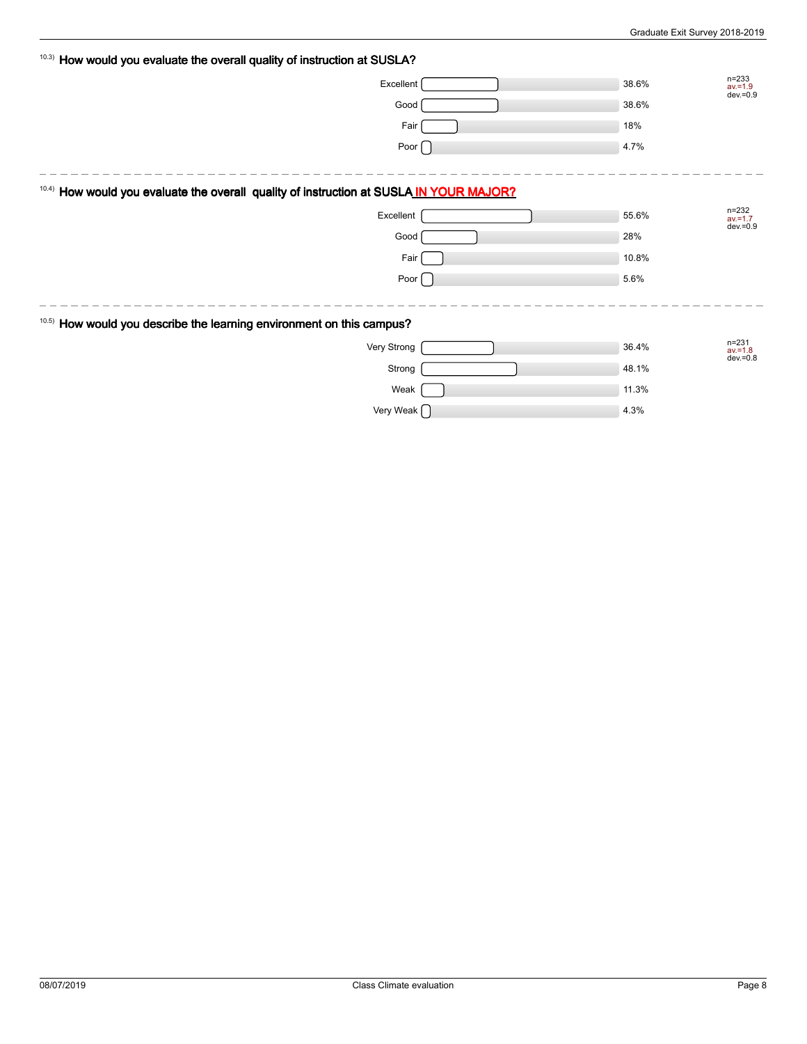| 10.3) How would you evaluate the overall quality of instruction at SUSLA? |                                                                                   |       |                                             |
|---------------------------------------------------------------------------|-----------------------------------------------------------------------------------|-------|---------------------------------------------|
|                                                                           | Excellent                                                                         | 38.6% | $n = 233$<br>$av = 1.9$<br>dev. = 0.9       |
|                                                                           | Good                                                                              | 38.6% |                                             |
|                                                                           | Fair                                                                              | 18%   |                                             |
|                                                                           | Poor $\bigcap$                                                                    | 4.7%  |                                             |
|                                                                           |                                                                                   |       |                                             |
| 10.4)                                                                     | How would you evaluate the overall quality of instruction at SUSLA IN YOUR MAJOR? |       |                                             |
|                                                                           | Excellent                                                                         | 55.6% | $n = 232$<br>$av = 1.7$<br>dev. = 0.9       |
|                                                                           | Good                                                                              | 28%   |                                             |
|                                                                           | Fair                                                                              | 10.8% |                                             |
|                                                                           | Poor $\Box$                                                                       | 5.6%  |                                             |
|                                                                           |                                                                                   |       |                                             |
| 10.5) How would you describe the learning environment on this campus?     |                                                                                   |       |                                             |
|                                                                           | Very Strong                                                                       | 36.4% | $n = 231$<br>$\frac{av}{1.8}$<br>dev. = 0.8 |
|                                                                           | Strong                                                                            | 48.1% |                                             |
|                                                                           | Weak                                                                              | 11.3% |                                             |
|                                                                           | Very Weak $\bigcap$                                                               | 4.3%  |                                             |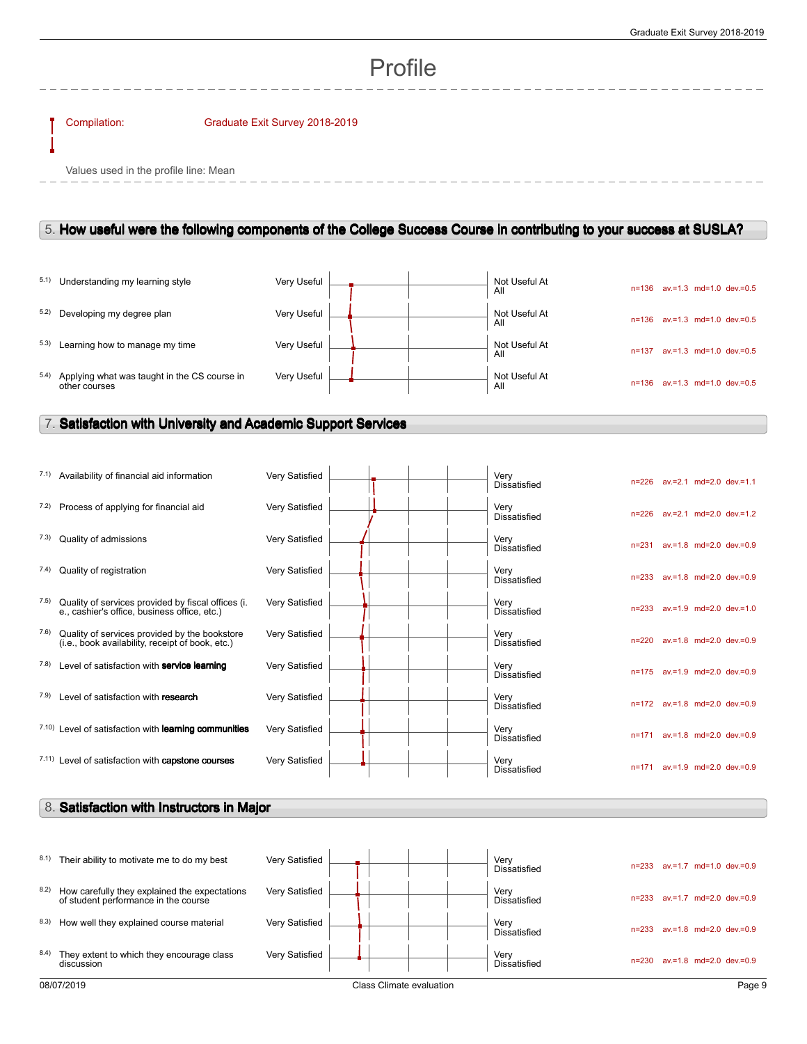# Profile

#### Compilation: Graduate Exit Survey 2018-2019

Values used in the profile line: Mean

### 5. **How useful were the following components of the College Success Course in contributing to your success at SUSLA?**

|      | 5.1) Understanding my learning style                          | Very Useful |  | Not Useful At<br>All | $n = 1.36$ | av.=1.3 md=1.0 dev.=0.5         |
|------|---------------------------------------------------------------|-------------|--|----------------------|------------|---------------------------------|
|      | 5.2) Developing my degree plan                                | Very Useful |  | Not Useful At<br>All | $n = 136$  | $av = 1.3$ md=1.0 dev $v = 0.5$ |
| 5.3) | Learning how to manage my time                                | Very Useful |  | Not Useful At<br>All | n=137      | $av = 1.3$ md=1.0 dev $v = 0.5$ |
| 5.4) | Applying what was taught in the CS course in<br>other courses | Verv Useful |  | Not Useful At<br>All | n=136      | $av = 1.3$ md=1.0 dev $v = 0.5$ |

l,

## 7. **Satisfaction with University and Academic Support Services**

|      | 7.1) Availability of financial aid information                                                     | Very Satisfied        |  |  | Very<br><b>Dissatisfied</b> | $n = 226$ |  | av.=2.1 md=2.0 dev.=1.1       |
|------|----------------------------------------------------------------------------------------------------|-----------------------|--|--|-----------------------------|-----------|--|-------------------------------|
| 7.2) | Process of applying for financial aid                                                              | Very Satisfied        |  |  | Very<br>Dissatisfied        | $n = 226$ |  | $av = 2.1$ md=2.0 dev.=1.2    |
| 7.3) | Quality of admissions                                                                              | Very Satisfied        |  |  | Verv<br><b>Dissatisfied</b> | $n = 231$ |  | $av = 1.8$ md=2.0 dev.=0.9    |
| 7.4) | Quality of registration                                                                            | Very Satisfied        |  |  | Very<br><b>Dissatisfied</b> | $n = 233$ |  | av.=1.8 md=2.0 dev.=0.9       |
| 7.5) | Quality of services provided by fiscal offices (i.<br>e., cashier's office, business office, etc.) | Very Satisfied        |  |  | Verv<br><b>Dissatisfied</b> | $n = 233$ |  | av.=1.9 md=2.0 dev.=1.0       |
| 7.6) | Quality of services provided by the bookstore<br>(i.e., book availability, receipt of book, etc.)  | Very Satisfied        |  |  | Verv<br><b>Dissatisfied</b> | $n = 220$ |  | av.=1.8 md=2.0 dev.=0.9       |
| 7.8) | Level of satisfaction with service learning                                                        | Very Satisfied        |  |  | Verv<br><b>Dissatisfied</b> |           |  | n=175 av.=1.9 md=2.0 dev.=0.9 |
| 7.9) | Level of satisfaction with research                                                                | Very Satisfied        |  |  | Verv<br><b>Dissatisfied</b> |           |  | n=172 av.=1.8 md=2.0 dev.=0.9 |
|      | <sup>7.10</sup> Level of satisfaction with <b>learning communities</b>                             | Very Satisfied        |  |  | Verv<br><b>Dissatisfied</b> | $n = 171$ |  | av.=1.8 md=2.0 dev.=0.9       |
|      | 7.11) Level of satisfaction with capstone courses                                                  | <b>Very Satisfied</b> |  |  | Very<br><b>Dissatisfied</b> |           |  | n=171 av.=1.9 md=2.0 dev.=0.9 |

### 8. **Satisfaction with Instructors in Major**

| 8.1) | Their ability to motivate me to do my best                                            | Very Satisfied |                          | Very<br>Dissatisfied        | $av = 1.7$ md=1.0 dev=0.9<br>$n = 233$ |
|------|---------------------------------------------------------------------------------------|----------------|--------------------------|-----------------------------|----------------------------------------|
| 8.2) | How carefully they explained the expectations<br>of student performance in the course | Very Satisfied |                          | Very<br><b>Dissatisfied</b> | $av = 1.7$ md=2.0 dev=0.9<br>n=233     |
| 8.3) | How well they explained course material                                               | Very Satisfied |                          | Very<br><b>Dissatisfied</b> | $av = 1.8$ md=2.0 dev=0.9<br>n=233     |
| 8.4) | They extent to which they encourage class<br>discussion                               | Very Satisfied |                          | Very<br><b>Dissatisfied</b> | $av = 1.8$ md=2.0 dev=0.9<br>$n = 230$ |
|      | 08/07/2019                                                                            |                | Class Climate evaluation |                             | Page 9                                 |